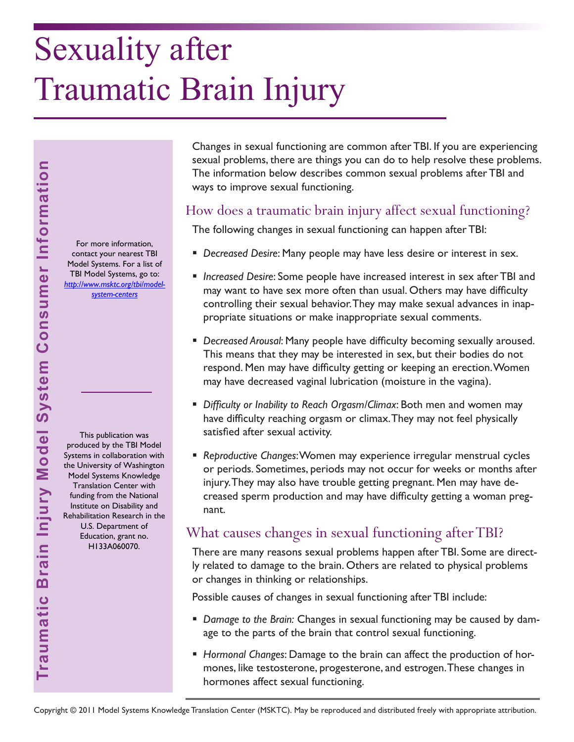# Sexuality after Traumatic Brain Injury

For more information, contact your nearest TBI Model Systems. For a list of TBI Model Systems, go to: *[http://www.msktc.org/tbi/model](http://www.msktc.org/tbi/model-system-centers)system-centers* 

This publication was produced by the TBI Model Systems in collaboration with the University of Washington Model Systems Knowledge Translation Center with funding from the National Institute on Disability and Rehabilitation Research in the U.S. Department of Education, grant no. H133A060070.

**Traumatic Brain Injury Model System Consumer Information**

Traumatic Brain Injury Model System Consumer Information

Changes in sexual functioning are common after TBI. If you are experiencing sexual problems, there are things you can do to help resolve these problems. The information below describes common sexual problems after TBI and ways to improve sexual functioning.

### How does a traumatic brain injury affect sexual functioning?

The following changes in sexual functioning can happen after TBI:

- *Decreased Desire*: Many people may have less desire or interest in sex.
- *Increased Desire*: Some people have increased interest in sex after TBI and may want to have sex more often than usual. Others may have difficulty controlling their sexual behavior. They may make sexual advances in inappropriate situations or make inappropriate sexual comments.
- *Decreased Arousal*: Many people have difficulty becoming sexually aroused. This means that they may be interested in sex, but their bodies do not respond. Men may have difficulty getting or keeping an erection. Women may have decreased vaginal lubrication (moisture in the vagina).
- *Difficulty or Inability to Reach Orgasm/Climax*: Both men and women may have difficulty reaching orgasm or climax. They may not feel physically satisfied after sexual activity.
- *Reproductive Changes*: Women may experience irregular menstrual cycles or periods. Sometimes, periods may not occur for weeks or months after injury. They may also have trouble getting pregnant. Men may have decreased sperm production and may have difficulty getting a woman pregnant.

## What causes changes in sexual functioning after TBI?

There are many reasons sexual problems happen after TBI. Some are directly related to damage to the brain. Others are related to physical problems or changes in thinking or relationships.

Possible causes of changes in sexual functioning after TBI include:

- *Damage to the Brain:* Changes in sexual functioning may be caused by damage to the parts of the brain that control sexual functioning.
- *Hormonal Changes*: Damage to the brain can affect the production of hormones, like testosterone, progesterone, and estrogen. These changes in hormones affect sexual functioning.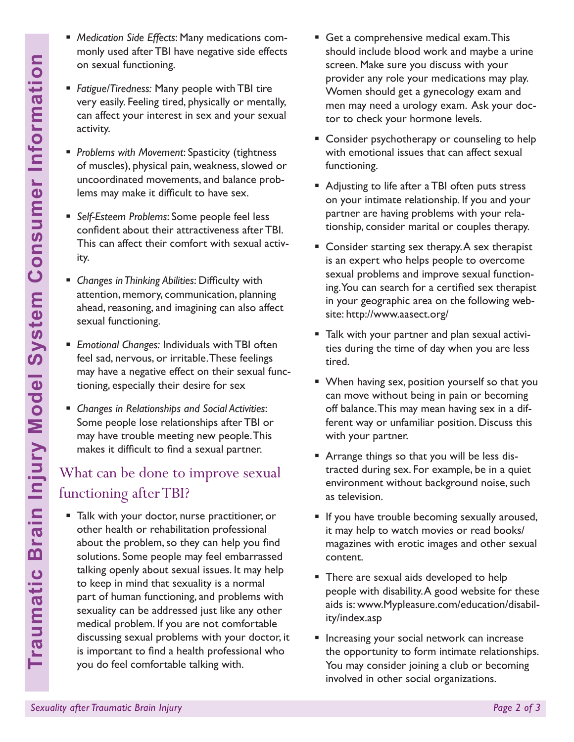- *Medication Side Effects*: Many medications commonly used after TBI have negative side effects on sexual functioning.
- *Fatigue/Tiredness:* Many people with TBI tire very easily. Feeling tired, physically or mentally, can affect your interest in sex and your sexual activity.
- *Problems with Movement*: Spasticity (tightness of muscles), physical pain, weakness, slowed or uncoordinated movements, and balance problems may make it difficult to have sex.
- *Self-Esteem Problems*: Some people feel less confident about their attractiveness after TBI. This can affect their comfort with sexual activity.
- *Changes in Thinking Abilities*: Difficulty with attention, memory, communication, planning ahead, reasoning, and imagining can also affect sexual functioning.
- *Emotional Changes:* Individuals with TBI often feel sad, nervous, or irritable. These feelings may have a negative effect on their sexual functioning, especially their desire for sex
- *Changes in Relationships and Social Activities*: Some people lose relationships after TBI or may have trouble meeting new people. This makes it difficult to find a sexual partner.

# What can be done to improve sexual functioning after TBI?

- **Sexual interfeating**<br> **Sexual for** *Fraigue/Tiredness: Many* **very easily. Feeling tired<br>
can affect your interest<br>
of muscles), physical pair<br>
<b>Problems** with Movement<br> **Sexuality and the Consumer Consumer Instanting**<br> **Pr**  Talk with your doctor, nurse practitioner, or other health or rehabilitation professional about the problem, so they can help you find solutions. Some people may feel embarrassed talking openly about sexual issues. It may help to keep in mind that sexuality is a normal part of human functioning, and problems with sexuality can be addressed just like any other medical problem. If you are not comfortable discussing sexual problems with your doctor, it is important to find a health professional who you do feel comfortable talking with.
- Get a comprehensive medical exam. This should include blood work and maybe a urine screen. Make sure you discuss with your provider any role your medications may play. Women should get a gynecology exam and men may need a urology exam. Ask your doctor to check your hormone levels.
- **Consider psychotherapy or counseling to help** with emotional issues that can affect sexual functioning.
- Adjusting to life after a TBI often puts stress on your intimate relationship. If you and your partner are having problems with your relationship, consider marital or couples therapy.
- Consider starting sex therapy. A sex therapist is an expert who helps people to overcome sexual problems and improve sexual functioning. You can search for a certified sex therapist in your geographic area on the following website: http://www.aasect.org/
- Talk with your partner and plan sexual activities during the time of day when you are less tired.
- When having sex, position yourself so that you can move without being in pain or becoming off balance. This may mean having sex in a different way or unfamiliar position. Discuss this with your partner.
- **Arrange things so that you will be less dis**tracted during sex. For example, be in a quiet environment without background noise, such as television.
- If you have trouble becoming sexually aroused, it may help to watch movies or read books/ magazines with erotic images and other sexual content.
- There are sexual aids developed to help people with disability. A good website for these aids is: www.Mypleasure.com/education/disability/index.asp
- **Increasing your social network can increase** the opportunity to form intimate relationships. You may consider joining a club or becoming involved in other social organizations.